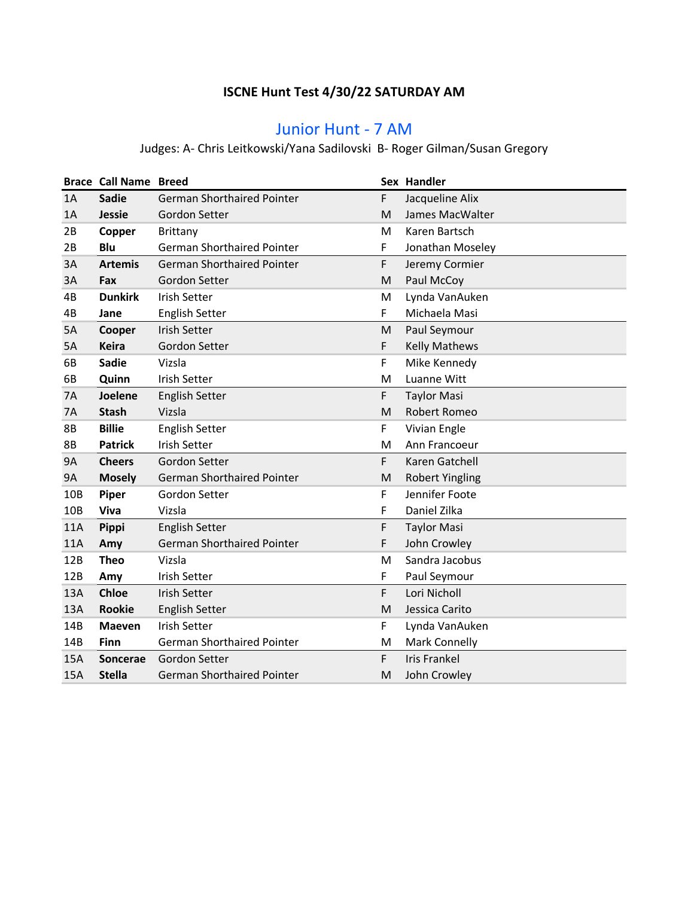### **ISCNE Hunt Test 4/30/22 SATURDAY AM**

## Junior Hunt - 7 AM

# Judges: A- Chris Leitkowski/Yana Sadilovski B- Roger Gilman/Susan Gregory

|                 | <b>Brace Call Name Breed</b> |                                   |    | Sex Handler            |
|-----------------|------------------------------|-----------------------------------|----|------------------------|
| 1A              | <b>Sadie</b>                 | <b>German Shorthaired Pointer</b> | F  | Jacqueline Alix        |
| 1A              | <b>Jessie</b>                | Gordon Setter                     | M  | James MacWalter        |
| 2B              | Copper                       | Brittany                          | М  | Karen Bartsch          |
| 2B              | Blu                          | <b>German Shorthaired Pointer</b> | F  | Jonathan Moseley       |
| 3A              | <b>Artemis</b>               | <b>German Shorthaired Pointer</b> | F  | Jeremy Cormier         |
| 3A              | Fax                          | Gordon Setter                     | M  | Paul McCoy             |
| 4B              | <b>Dunkirk</b>               | <b>Irish Setter</b>               | M  | Lynda VanAuken         |
| 4B              | Jane                         | <b>English Setter</b>             | F. | Michaela Masi          |
| 5A              | Cooper                       | <b>Irish Setter</b>               | M  | Paul Seymour           |
| 5A              | <b>Keira</b>                 | Gordon Setter                     | F  | <b>Kelly Mathews</b>   |
| 6B              | <b>Sadie</b>                 | Vizsla                            | F  | Mike Kennedy           |
| 6B              | Quinn                        | <b>Irish Setter</b>               | M  | Luanne Witt            |
| 7A              | Joelene                      | <b>English Setter</b>             | F. | <b>Taylor Masi</b>     |
| <b>7A</b>       | <b>Stash</b>                 | Vizsla                            | M  | Robert Romeo           |
| 8B              | <b>Billie</b>                | <b>English Setter</b>             | F  | Vivian Engle           |
| <b>8B</b>       | <b>Patrick</b>               | <b>Irish Setter</b>               | M  | Ann Francoeur          |
| <b>9A</b>       | <b>Cheers</b>                | Gordon Setter                     | F. | Karen Gatchell         |
| <b>9A</b>       | <b>Mosely</b>                | <b>German Shorthaired Pointer</b> | M  | <b>Robert Yingling</b> |
| 10B             | Piper                        | Gordon Setter                     | F  | Jennifer Foote         |
| 10 <sub>B</sub> | Viva                         | Vizsla                            | F  | Daniel Zilka           |
| <b>11A</b>      | Pippi                        | <b>English Setter</b>             | F  | <b>Taylor Masi</b>     |
| 11A             | Amy                          | <b>German Shorthaired Pointer</b> | F  | John Crowley           |
| 12B             | <b>Theo</b>                  | Vizsla                            | M  | Sandra Jacobus         |
| 12B             | Amy                          | <b>Irish Setter</b>               | F. | Paul Seymour           |
| 13A             | <b>Chloe</b>                 | <b>Irish Setter</b>               | F  | Lori Nicholl           |
| 13A             | <b>Rookie</b>                | <b>English Setter</b>             | M  | Jessica Carito         |
| 14B             | <b>Maeven</b>                | <b>Irish Setter</b>               | F  | Lynda VanAuken         |
| 14B             | Finn                         | <b>German Shorthaired Pointer</b> | M  | <b>Mark Connelly</b>   |
| 15A             | <b>Soncerae</b>              | Gordon Setter                     | F. | <b>Iris Frankel</b>    |
| 15A             | <b>Stella</b>                | <b>German Shorthaired Pointer</b> | M  | John Crowley           |